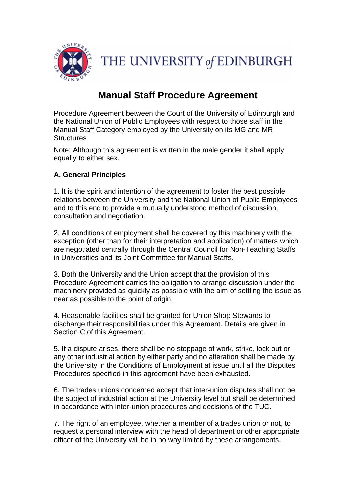

THE UNIVERSITY of EDINBURGH

# **Manual Staff Procedure Agreement**

Procedure Agreement between the Court of the University of Edinburgh and the National Union of Public Employees with respect to those staff in the Manual Staff Category employed by the University on its MG and MR **Structures** 

Note: Although this agreement is written in the male gender it shall apply equally to either sex.

# **A. General Principles**

1. It is the spirit and intention of the agreement to foster the best possible relations between the University and the National Union of Public Employees and to this end to provide a mutually understood method of discussion, consultation and negotiation.

2. All conditions of employment shall be covered by this machinery with the exception (other than for their interpretation and application) of matters which are negotiated centrally through the Central Council for Non-Teaching Staffs in Universities and its Joint Committee for Manual Staffs.

3. Both the University and the Union accept that the provision of this Procedure Agreement carries the obligation to arrange discussion under the machinery provided as quickly as possible with the aim of settling the issue as near as possible to the point of origin.

4. Reasonable facilities shall be granted for Union Shop Stewards to discharge their responsibilities under this Agreement. Details are given in Section C of this Agreement.

5. If a dispute arises, there shall be no stoppage of work, strike, lock out or any other industrial action by either party and no alteration shall be made by the University in the Conditions of Employment at issue until all the Disputes Procedures specified in this agreement have been exhausted.

6. The trades unions concerned accept that inter-union disputes shall not be the subject of industrial action at the University level but shall be determined in accordance with inter-union procedures and decisions of the TUC.

7. The right of an employee, whether a member of a trades union or not, to request a personal interview with the head of department or other appropriate officer of the University will be in no way limited by these arrangements.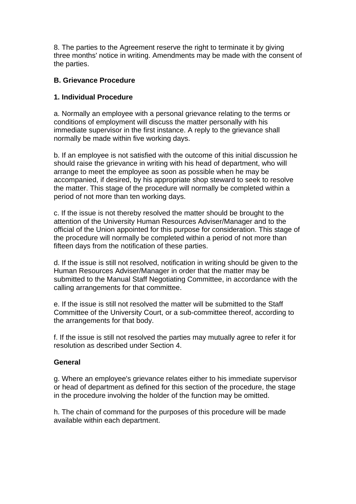8. The parties to the Agreement reserve the right to terminate it by giving three months' notice in writing. Amendments may be made with the consent of the parties.

## **B. Grievance Procedure**

## **1. Individual Procedure**

a. Normally an employee with a personal grievance relating to the terms or conditions of employment will discuss the matter personally with his immediate supervisor in the first instance. A reply to the grievance shall normally be made within five working days.

b. If an employee is not satisfied with the outcome of this initial discussion he should raise the grievance in writing with his head of department, who will arrange to meet the employee as soon as possible when he may be accompanied, if desired, by his appropriate shop steward to seek to resolve the matter. This stage of the procedure will normally be completed within a period of not more than ten working days.

c. If the issue is not thereby resolved the matter should be brought to the attention of the University Human Resources Adviser/Manager and to the official of the Union appointed for this purpose for consideration. This stage of the procedure will normally be completed within a period of not more than fifteen days from the notification of these parties.

d. If the issue is still not resolved, notification in writing should be given to the Human Resources Adviser/Manager in order that the matter may be submitted to the Manual Staff Negotiating Committee, in accordance with the calling arrangements for that committee.

e. If the issue is still not resolved the matter will be submitted to the Staff Committee of the University Court, or a sub-committee thereof, according to the arrangements for that body.

f. If the issue is still not resolved the parties may mutually agree to refer it for resolution as described under Section 4.

## **General**

g. Where an employee's grievance relates either to his immediate supervisor or head of department as defined for this section of the procedure, the stage in the procedure involving the holder of the function may be omitted.

h. The chain of command for the purposes of this procedure will be made available within each department.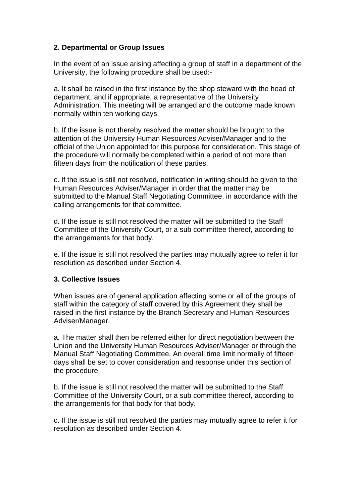# **2. Departmental or Group Issues**

In the event of an issue arising affecting a group of staff in a department of the University, the following procedure shall be used:-

a. It shall be raised in the first instance by the shop steward with the head of department, and if appropriate, a representative of the University Administration. This meeting will be arranged and the outcome made known normally within ten working days.

b. If the issue is not thereby resolved the matter should be brought to the attention of the University Human Resources Adviser/Manager and to the official of the Union appointed for this purpose for consideration. This stage of the procedure will normally be completed within a period of not more than fifteen days from the notification of these parties.

c. If the issue is still not resolved, notification in writing should be given to the Human Resources Adviser/Manager in order that the matter may be submitted to the Manual Staff Negotiating Committee, in accordance with the calling arrangements for that committee.

d. If the issue is still not resolved the matter will be submitted to the Staff Committee of the University Court, or a sub committee thereof, according to the arrangements for that body.

e. If the issue is still not resolved the parties may mutually agree to refer it for resolution as described under Section 4.

## **3. Collective Issues**

When issues are of general application affecting some or all of the groups of staff within the category of staff covered by this Agreement they shall be raised in the first instance by the Branch Secretary and Human Resources Adviser/Manager.

a. The matter shall then be referred either for direct negotiation between the Union and the University Human Resources Adviser/Manager or through the Manual Staff Negotiating Committee. An overall time limit normally of fifteen days shall be set to cover consideration and response under this section of the procedure.

b. If the issue is still not resolved the matter will be submitted to the Staff Committee of the University Court, or a sub committee thereof, according to the arrangements for that body for that body.

c. If the issue is still not resolved the parties may mutually agree to refer it for resolution as described under Section 4.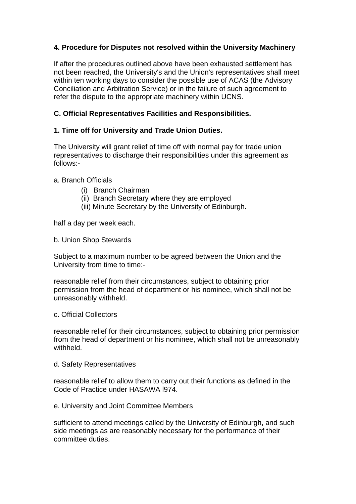# **4. Procedure for Disputes not resolved within the University Machinery**

If after the procedures outlined above have been exhausted settlement has not been reached, the University's and the Union's representatives shall meet within ten working days to consider the possible use of ACAS (the Advisory Conciliation and Arbitration Service) or in the failure of such agreement to refer the dispute to the appropriate machinery within UCNS.

## **C. Official Representatives Facilities and Responsibilities.**

## **1. Time off for University and Trade Union Duties.**

The University will grant relief of time off with normal pay for trade union representatives to discharge their responsibilities under this agreement as follows:-

#### a. Branch Officials

- (i) Branch Chairman
- (ii) Branch Secretary where they are employed
- (iii) Minute Secretary by the University of Edinburgh.

half a day per week each.

b. Union Shop Stewards

Subject to a maximum number to be agreed between the Union and the University from time to time:-

reasonable relief from their circumstances, subject to obtaining prior permission from the head of department or his nominee, which shall not be unreasonably withheld.

c. Official Collectors

reasonable relief for their circumstances, subject to obtaining prior permission from the head of department or his nominee, which shall not be unreasonably withheld.

d. Safety Representatives

reasonable relief to allow them to carry out their functions as defined in the Code of Practice under HASAWA l974.

e. University and Joint Committee Members

sufficient to attend meetings called by the University of Edinburgh, and such side meetings as are reasonably necessary for the performance of their committee duties.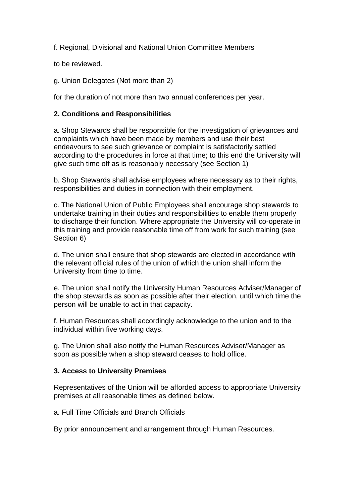f. Regional, Divisional and National Union Committee Members

to be reviewed.

g. Union Delegates (Not more than 2)

for the duration of not more than two annual conferences per year.

## **2. Conditions and Responsibilities**

a. Shop Stewards shall be responsible for the investigation of grievances and complaints which have been made by members and use their best endeavours to see such grievance or complaint is satisfactorily settled according to the procedures in force at that time; to this end the University will give such time off as is reasonably necessary (see Section 1)

b. Shop Stewards shall advise employees where necessary as to their rights, responsibilities and duties in connection with their employment.

c. The National Union of Public Employees shall encourage shop stewards to undertake training in their duties and responsibilities to enable them properly to discharge their function. Where appropriate the University will co-operate in this training and provide reasonable time off from work for such training (see Section 6)

d. The union shall ensure that shop stewards are elected in accordance with the relevant official rules of the union of which the union shall inform the University from time to time.

e. The union shall notify the University Human Resources Adviser/Manager of the shop stewards as soon as possible after their election, until which time the person will be unable to act in that capacity.

f. Human Resources shall accordingly acknowledge to the union and to the individual within five working days.

g. The Union shall also notify the Human Resources Adviser/Manager as soon as possible when a shop steward ceases to hold office.

## **3. Access to University Premises**

Representatives of the Union will be afforded access to appropriate University premises at all reasonable times as defined below.

a. Full Time Officials and Branch Officials

By prior announcement and arrangement through Human Resources.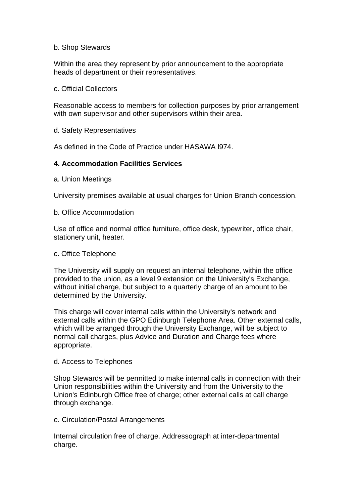#### b. Shop Stewards

Within the area they represent by prior announcement to the appropriate heads of department or their representatives.

#### c. Official Collectors

Reasonable access to members for collection purposes by prior arrangement with own supervisor and other supervisors within their area.

#### d. Safety Representatives

As defined in the Code of Practice under HASAWA l974.

#### **4. Accommodation Facilities Services**

a. Union Meetings

University premises available at usual charges for Union Branch concession.

#### b. Office Accommodation

Use of office and normal office furniture, office desk, typewriter, office chair, stationery unit, heater.

#### c. Office Telephone

The University will supply on request an internal telephone, within the office provided to the union, as a level 9 extension on the University's Exchange, without initial charge, but subject to a quarterly charge of an amount to be determined by the University.

This charge will cover internal calls within the University's network and external calls within the GPO Edinburgh Telephone Area. Other external calls, which will be arranged through the University Exchange, will be subject to normal call charges, plus Advice and Duration and Charge fees where appropriate.

#### d. Access to Telephones

Shop Stewards will be permitted to make internal calls in connection with their Union responsibilities within the University and from the University to the Union's Edinburgh Office free of charge; other external calls at call charge through exchange.

#### e. Circulation/Postal Arrangements

Internal circulation free of charge. Addressograph at inter-departmental charge.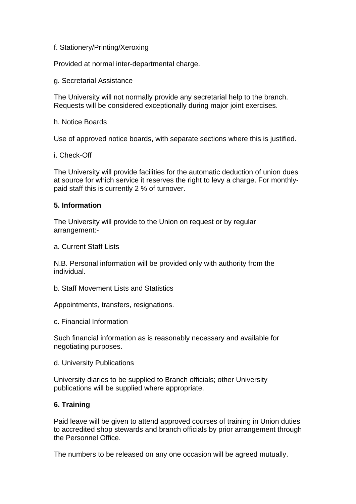#### f. Stationery/Printing/Xeroxing

Provided at normal inter-departmental charge.

g. Secretarial Assistance

The University will not normally provide any secretarial help to the branch. Requests will be considered exceptionally during major joint exercises.

#### h. Notice Boards

Use of approved notice boards, with separate sections where this is justified.

#### i. Check-Off

The University will provide facilities for the automatic deduction of union dues at source for which service it reserves the right to levy a charge. For monthlypaid staff this is currently 2 % of turnover.

#### **5. Information**

The University will provide to the Union on request or by regular arrangement:-

a. Current Staff Lists

N.B. Personal information will be provided only with authority from the individual.

b. Staff Movement Lists and Statistics

Appointments, transfers, resignations.

c. Financial Information

Such financial information as is reasonably necessary and available for negotiating purposes.

d. University Publications

University diaries to be supplied to Branch officials; other University publications will be supplied where appropriate.

## **6. Training**

Paid leave will be given to attend approved courses of training in Union duties to accredited shop stewards and branch officials by prior arrangement through the Personnel Office.

The numbers to be released on any one occasion will be agreed mutually.